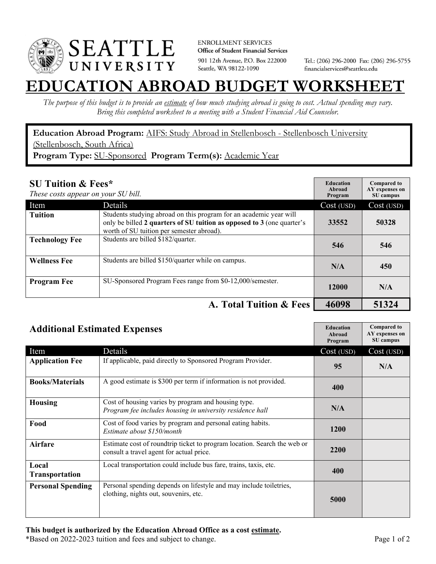

**ENROLLMENT SERVICES** Office of Student Financial Services 901 12th Avenue, P.O. Box 222000 Seattle, WA 98122-1090

Tel.: (206) 296-2000 Fax: (206) 296-5755 financialservices@seattleu.edu

## **EATION ABROAD BUDGET WORKSHEE**

*The purpose of this budget is to provide an estimate of how much studying abroad is going to cost. Actual spending may vary. Bring this completed worksheet to a meeting with a Student Financial Aid Counselor.* 

**Education Abroad Program:** AIFS: Study Abroad in Stellenbosch - Stellenbosch University (Stellenbosch, South Africa) **Program Type:** SU-Sponsored **Program Term(s):** Academic Year

| <b>SU Tuition &amp; Fees*</b><br>These costs appear on your SU bill. |                                                                                                                                                                                           | <b>Education</b><br>Abroad<br>Program | <b>Compared to</b><br>AY expenses on<br>SU campus |
|----------------------------------------------------------------------|-------------------------------------------------------------------------------------------------------------------------------------------------------------------------------------------|---------------------------------------|---------------------------------------------------|
| Item                                                                 | <b>Details</b>                                                                                                                                                                            | Cost (USD)                            | Cost (USD)                                        |
| <b>Tuition</b>                                                       | Students studying abroad on this program for an academic year will<br>only be billed 2 quarters of SU tuition as opposed to 3 (one quarter's<br>worth of SU tuition per semester abroad). | 33552                                 | 50328                                             |
| <b>Technology Fee</b>                                                | Students are billed \$182/quarter.                                                                                                                                                        | 546                                   | 546                                               |
| <b>Wellness Fee</b>                                                  | Students are billed \$150/quarter while on campus.                                                                                                                                        | N/A                                   | 450                                               |
| <b>Program Fee</b>                                                   | SU-Sponsored Program Fees range from \$0-12,000/semester.                                                                                                                                 | 12000                                 | N/A                                               |
|                                                                      | A. Total Tuition & Fees                                                                                                                                                                   | 46098                                 | 51324                                             |

| <b>Additional Estimated Expenses</b> |                                                                                                                      | <b>Education</b><br>Abroad<br>Program | <b>Compared to</b><br>AY expenses on<br>SU campus |
|--------------------------------------|----------------------------------------------------------------------------------------------------------------------|---------------------------------------|---------------------------------------------------|
| Item                                 | Details                                                                                                              | Cost (USD)                            | Cost (USD)                                        |
| <b>Application Fee</b>               | If applicable, paid directly to Sponsored Program Provider.                                                          | 95                                    | N/A                                               |
| <b>Books/Materials</b>               | A good estimate is \$300 per term if information is not provided.                                                    | 400                                   |                                                   |
| <b>Housing</b>                       | Cost of housing varies by program and housing type.<br>Program fee includes housing in university residence hall     | N/A                                   |                                                   |
| Food                                 | Cost of food varies by program and personal eating habits.<br>Estimate about \$150/month                             | 1200                                  |                                                   |
| Airfare                              | Estimate cost of roundtrip ticket to program location. Search the web or<br>consult a travel agent for actual price. | 2200                                  |                                                   |
| Local<br><b>Transportation</b>       | Local transportation could include bus fare, trains, taxis, etc.                                                     | 400                                   |                                                   |
| <b>Personal Spending</b>             | Personal spending depends on lifestyle and may include toiletries,<br>clothing, nights out, souvenirs, etc.          | 5000                                  |                                                   |

\*Based on 2022-2023 tuition and fees and subject to change. Page 1 of 2